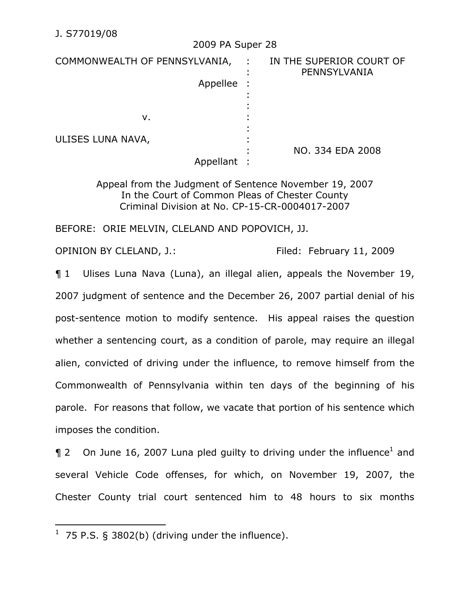|                               | 2009 PA Super 28 |                                            |
|-------------------------------|------------------|--------------------------------------------|
| COMMONWEALTH OF PENNSYLVANIA, |                  | : IN THE SUPERIOR COURT OF<br>PENNSYLVANIA |
|                               | Appellee         |                                            |
|                               |                  |                                            |
| v.                            |                  |                                            |
| ULISES LUNA NAVA,             |                  |                                            |
|                               | Appellant        | NO. 334 EDA 2008                           |

 $2000 - 28$ 

Appeal from the Judgment of Sentence November 19, 2007 In the Court of Common Pleas of Chester County Criminal Division at No. CP-15-CR-0004017-2007

BEFORE: ORIE MELVIN, CLELAND AND POPOVICH, JJ.

OPINION BY CLELAND, J.: Filed: February 11, 2009

¶ 1 Ulises Luna Nava (Luna), an illegal alien, appeals the November 19, 2007 judgment of sentence and the December 26, 2007 partial denial of his post-sentence motion to modify sentence. His appeal raises the question whether a sentencing court, as a condition of parole, may require an illegal alien, convicted of driving under the influence, to remove himself from the Commonwealth of Pennsylvania within ten days of the beginning of his parole. For reasons that follow, we vacate that portion of his sentence which imposes the condition.

 $\P$  2 On June 16, 2007 Luna pled guilty to driving under the influence<sup>1</sup> and several Vehicle Code offenses, for which, on November 19, 2007, the Chester County trial court sentenced him to 48 hours to six months

 $\overline{a}$ 

 $1$  75 P.S. § 3802(b) (driving under the influence).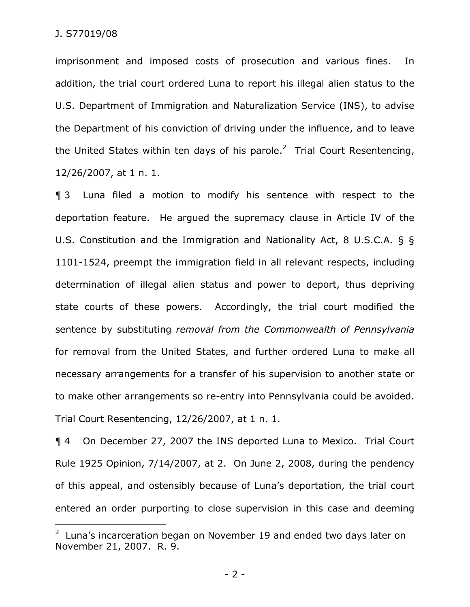$\overline{a}$ 

imprisonment and imposed costs of prosecution and various fines. In addition, the trial court ordered Luna to report his illegal alien status to the U.S. Department of Immigration and Naturalization Service (INS), to advise the Department of his conviction of driving under the influence, and to leave the United States within ten days of his parole.<sup>2</sup> Trial Court Resentencing, 12/26/2007, at 1 n. 1.

¶ 3 Luna filed a motion to modify his sentence with respect to the deportation feature. He argued the supremacy clause in Article IV of the U.S. Constitution and the Immigration and Nationality Act, 8 U.S.C.A. § § 1101-1524, preempt the immigration field in all relevant respects, including determination of illegal alien status and power to deport, thus depriving state courts of these powers. Accordingly, the trial court modified the sentence by substituting *removal from the Commonwealth of Pennsylvania* for removal from the United States, and further ordered Luna to make all necessary arrangements for a transfer of his supervision to another state or to make other arrangements so re-entry into Pennsylvania could be avoided. Trial Court Resentencing, 12/26/2007, at 1 n. 1.

¶ 4 On December 27, 2007 the INS deported Luna to Mexico. Trial Court Rule 1925 Opinion, 7/14/2007, at 2. On June 2, 2008, during the pendency of this appeal, and ostensibly because of Luna's deportation, the trial court entered an order purporting to close supervision in this case and deeming

 $2$  Luna's incarceration began on November 19 and ended two days later on November 21, 2007. R. 9.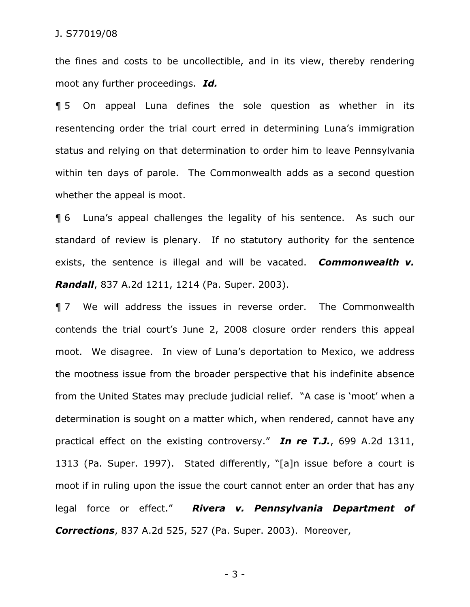the fines and costs to be uncollectible, and in its view, thereby rendering moot any further proceedings. *Id.*

¶ 5 On appeal Luna defines the sole question as whether in its resentencing order the trial court erred in determining Luna's immigration status and relying on that determination to order him to leave Pennsylvania within ten days of parole. The Commonwealth adds as a second question whether the appeal is moot.

¶ 6 Luna's appeal challenges the legality of his sentence. As such our standard of review is plenary. If no statutory authority for the sentence exists, the sentence is illegal and will be vacated. *Commonwealth v. Randall*, 837 A.2d 1211, 1214 (Pa. Super. 2003).

¶ 7 We will address the issues in reverse order. The Commonwealth contends the trial court's June 2, 2008 closure order renders this appeal moot. We disagree. In view of Luna's deportation to Mexico, we address the mootness issue from the broader perspective that his indefinite absence from the United States may preclude judicial relief. "A case is 'moot' when a determination is sought on a matter which, when rendered, cannot have any practical effect on the existing controversy." *In re T.J.*, 699 A.2d 1311, 1313 (Pa. Super. 1997). Stated differently, "[a]n issue before a court is moot if in ruling upon the issue the court cannot enter an order that has any legal force or effect." *Rivera v. Pennsylvania Department of Corrections*, 837 A.2d 525, 527 (Pa. Super. 2003). Moreover,

- 3 -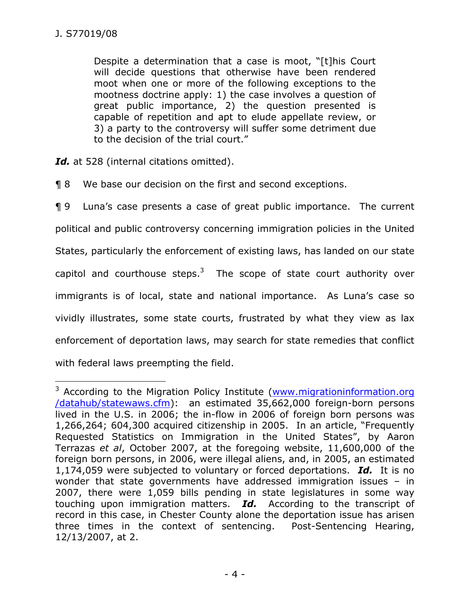-

Despite a determination that a case is moot, "[t]his Court will decide questions that otherwise have been rendered moot when one or more of the following exceptions to the mootness doctrine apply: 1) the case involves a question of great public importance, 2) the question presented is capable of repetition and apt to elude appellate review, or 3) a party to the controversy will suffer some detriment due to the decision of the trial court."

Id. at 528 (internal citations omitted).

¶ 8 We base our decision on the first and second exceptions.

¶ 9 Luna's case presents a case of great public importance. The current political and public controversy concerning immigration policies in the United States, particularly the enforcement of existing laws, has landed on our state capitol and courthouse steps.<sup>3</sup> The scope of state court authority over immigrants is of local, state and national importance. As Luna's case so vividly illustrates, some state courts, frustrated by what they view as lax enforcement of deportation laws, may search for state remedies that conflict with federal laws preempting the field.

<sup>&</sup>lt;sup>3</sup> According to the Migration Policy Institute (www.migrationinformation.org /datahub/statewaws.cfm): an estimated 35,662,000 foreign-born persons lived in the U.S. in 2006; the in-flow in 2006 of foreign born persons was 1,266,264; 604,300 acquired citizenship in 2005. In an article, "Frequently Requested Statistics on Immigration in the United States", by Aaron Terrazas *et al*, October 2007, at the foregoing website, 11,600,000 of the foreign born persons, in 2006, were illegal aliens, and, in 2005, an estimated 1,174,059 were subjected to voluntary or forced deportations. *Id.* It is no wonder that state governments have addressed immigration issues – in 2007, there were 1,059 bills pending in state legislatures in some way touching upon immigration matters. *Id.* According to the transcript of record in this case, in Chester County alone the deportation issue has arisen three times in the context of sentencing. Post-Sentencing Hearing, 12/13/2007, at 2.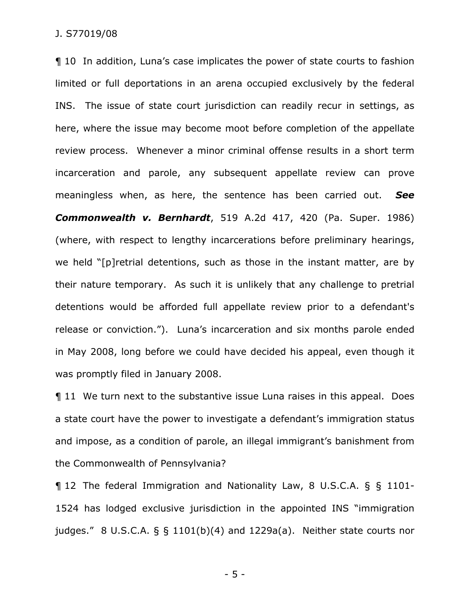¶ 10 In addition, Luna's case implicates the power of state courts to fashion limited or full deportations in an arena occupied exclusively by the federal INS. The issue of state court jurisdiction can readily recur in settings, as here, where the issue may become moot before completion of the appellate review process. Whenever a minor criminal offense results in a short term incarceration and parole, any subsequent appellate review can prove meaningless when, as here, the sentence has been carried out. *See Commonwealth v. Bernhardt*, 519 A.2d 417, 420 (Pa. Super. 1986) (where, with respect to lengthy incarcerations before preliminary hearings, we held "[p]retrial detentions, such as those in the instant matter, are by their nature temporary. As such it is unlikely that any challenge to pretrial detentions would be afforded full appellate review prior to a defendant's release or conviction."). Luna's incarceration and six months parole ended in May 2008, long before we could have decided his appeal, even though it was promptly filed in January 2008.

¶ 11 We turn next to the substantive issue Luna raises in this appeal. Does a state court have the power to investigate a defendant's immigration status and impose, as a condition of parole, an illegal immigrant's banishment from the Commonwealth of Pennsylvania?

¶ 12 The federal Immigration and Nationality Law, 8 U.S.C.A. § § 1101- 1524 has lodged exclusive jurisdiction in the appointed INS "immigration judges." 8 U.S.C.A.  $\S$   $\S$  1101(b)(4) and 1229a(a). Neither state courts nor

- 5 -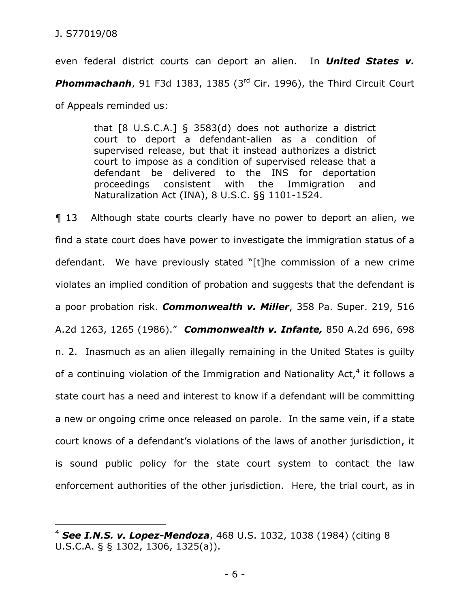$\overline{a}$ 

even federal district courts can deport an alien. In *United States v.*  **Phommachanh**, 91 F3d 1383, 1385 (3<sup>rd</sup> Cir. 1996), the Third Circuit Court of Appeals reminded us:

> that [8 U.S.C.A.] § 3583(d) does not authorize a district court to deport a defendant-alien as a condition of supervised release, but that it instead authorizes a district court to impose as a condition of supervised release that a defendant be delivered to the INS for deportation proceedings consistent with the Immigration and Naturalization Act (INA), 8 U.S.C. §§ 1101-1524.

¶ 13 Although state courts clearly have no power to deport an alien, we find a state court does have power to investigate the immigration status of a defendant. We have previously stated "[t]he commission of a new crime violates an implied condition of probation and suggests that the defendant is a poor probation risk. *Commonwealth v. Miller*, 358 Pa. Super. 219, 516 A.2d 1263, 1265 (1986)." *Commonwealth v. Infante,* 850 A.2d 696, 698 n. 2. Inasmuch as an alien illegally remaining in the United States is guilty of a continuing violation of the Immigration and Nationality Act,<sup>4</sup> it follows a state court has a need and interest to know if a defendant will be committing a new or ongoing crime once released on parole. In the same vein, if a state court knows of a defendant's violations of the laws of another jurisdiction, it is sound public policy for the state court system to contact the law enforcement authorities of the other jurisdiction. Here, the trial court, as in

<sup>4</sup> *See I.N.S. v. Lopez-Mendoza*, 468 U.S. 1032, 1038 (1984) (citing 8 U.S.C.A. § § 1302, 1306, 1325(a)).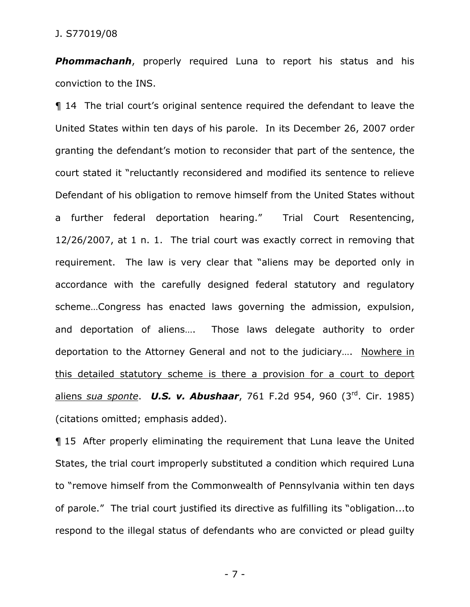*Phommachanh*, properly required Luna to report his status and his conviction to the INS.

¶ 14 The trial court's original sentence required the defendant to leave the United States within ten days of his parole. In its December 26, 2007 order granting the defendant's motion to reconsider that part of the sentence, the court stated it "reluctantly reconsidered and modified its sentence to relieve Defendant of his obligation to remove himself from the United States without a further federal deportation hearing." Trial Court Resentencing, 12/26/2007, at 1 n. 1. The trial court was exactly correct in removing that requirement. The law is very clear that "aliens may be deported only in accordance with the carefully designed federal statutory and regulatory scheme…Congress has enacted laws governing the admission, expulsion, and deportation of aliens…. Those laws delegate authority to order deportation to the Attorney General and not to the judiciary…. Nowhere in this detailed statutory scheme is there a provision for a court to deport aliens *sua sponte*. *U.S. v. Abushaar*, 761 F.2d 954, 960 (3rd. Cir. 1985) (citations omitted; emphasis added).

¶ 15 After properly eliminating the requirement that Luna leave the United States, the trial court improperly substituted a condition which required Luna to "remove himself from the Commonwealth of Pennsylvania within ten days of parole." The trial court justified its directive as fulfilling its "obligation...to respond to the illegal status of defendants who are convicted or plead guilty

- 7 -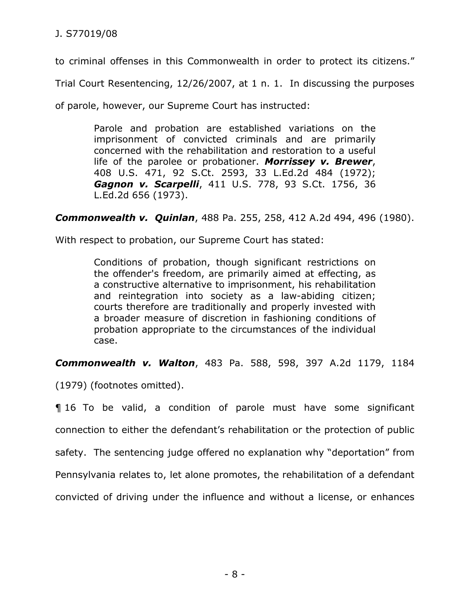to criminal offenses in this Commonwealth in order to protect its citizens."

Trial Court Resentencing, 12/26/2007, at 1 n. 1. In discussing the purposes

of parole, however, our Supreme Court has instructed:

Parole and probation are established variations on the imprisonment of convicted criminals and are primarily concerned with the rehabilitation and restoration to a useful life of the parolee or probationer. *Morrissey v. Brewer*, 408 U.S. 471, 92 S.Ct. 2593, 33 L.Ed.2d 484 (1972); *Gagnon v. Scarpelli*, 411 U.S. 778, 93 S.Ct. 1756, 36 L.Ed.2d 656 (1973).

*Commonwealth v. Quinlan*, 488 Pa. 255, 258, 412 A.2d 494, 496 (1980).

With respect to probation, our Supreme Court has stated:

Conditions of probation, though significant restrictions on the offender's freedom, are primarily aimed at effecting, as a constructive alternative to imprisonment, his rehabilitation and reintegration into society as a law-abiding citizen; courts therefore are traditionally and properly invested with a broader measure of discretion in fashioning conditions of probation appropriate to the circumstances of the individual case.

*Commonwealth v. Walton*, 483 Pa. 588, 598, 397 A.2d 1179, 1184

(1979) (footnotes omitted).

¶ 16 To be valid, a condition of parole must have some significant connection to either the defendant's rehabilitation or the protection of public safety. The sentencing judge offered no explanation why "deportation" from Pennsylvania relates to, let alone promotes, the rehabilitation of a defendant convicted of driving under the influence and without a license, or enhances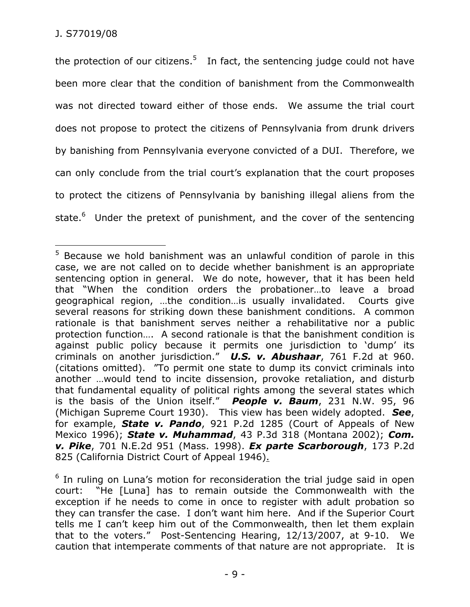the protection of our citizens.<sup>5</sup> In fact, the sentencing judge could not have been more clear that the condition of banishment from the Commonwealth was not directed toward either of those ends. We assume the trial court does not propose to protect the citizens of Pennsylvania from drunk drivers by banishing from Pennsylvania everyone convicted of a DUI. Therefore, we can only conclude from the trial court's explanation that the court proposes to protect the citizens of Pennsylvania by banishing illegal aliens from the state.<sup>6</sup> Under the pretext of punishment, and the cover of the sentencing

 $\overline{a}$ <sup>5</sup> Because we hold banishment was an unlawful condition of parole in this case, we are not called on to decide whether banishment is an appropriate sentencing option in general. We do note, however, that it has been held that "When the condition orders the probationer…to leave a broad geographical region, …the condition…is usually invalidated. Courts give several reasons for striking down these banishment conditions. A common rationale is that banishment serves neither a rehabilitative nor a public protection function…. A second rationale is that the banishment condition is against public policy because it permits one jurisdiction to 'dump' its criminals on another jurisdiction." *U.S. v. Abushaar*, 761 F.2d at 960. (citations omitted). "To permit one state to dump its convict criminals into another …would tend to incite dissension, provoke retaliation, and disturb that fundamental equality of political rights among the several states which is the basis of the Union itself." *People v. Baum*, 231 N.W. 95, 96 (Michigan Supreme Court 1930). This view has been widely adopted. *See*, for example, *State v. Pando*, 921 P.2d 1285 (Court of Appeals of New Mexico 1996); *State v. Muhammad*, 43 P.3d 318 (Montana 2002); *Com. v. Pike*, 701 N.E.2d 951 (Mass. 1998). *Ex parte Scarborough*, 173 P.2d 825 (California District Court of Appeal 1946).

<sup>&</sup>lt;sup>6</sup> In ruling on Luna's motion for reconsideration the trial judge said in open court: "He [Luna] has to remain outside the Commonwealth with the exception if he needs to come in once to register with adult probation so they can transfer the case. I don't want him here. And if the Superior Court tells me I can't keep him out of the Commonwealth, then let them explain that to the voters." Post-Sentencing Hearing, 12/13/2007, at 9-10. We caution that intemperate comments of that nature are not appropriate. It is